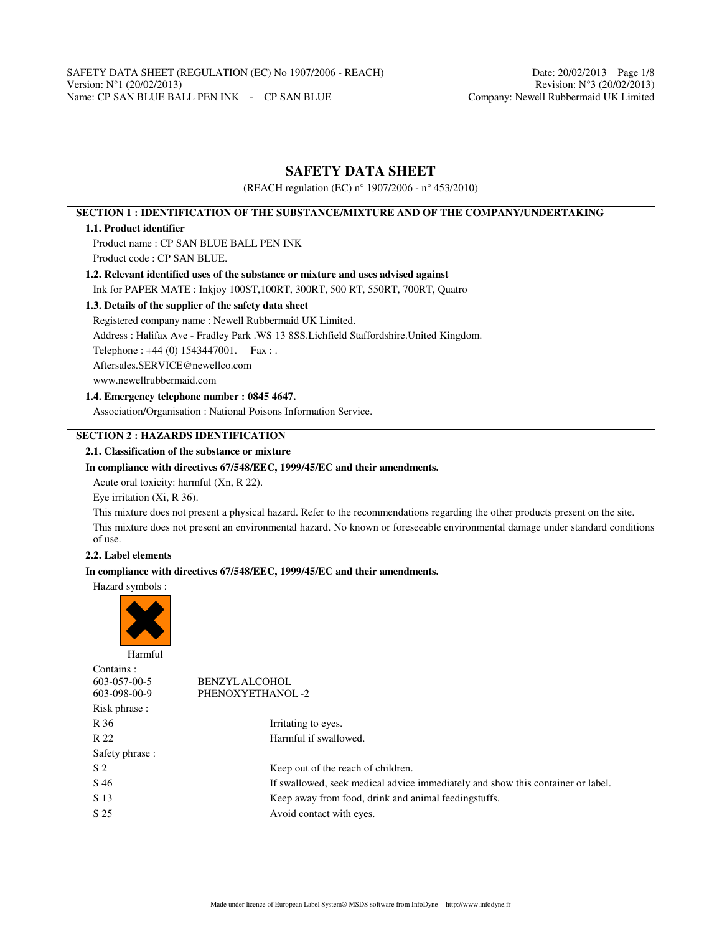# **SAFETY DATA SHEET**

(REACH regulation (EC) n° 1907/2006 - n° 453/2010)

# **SECTION 1 : IDENTIFICATION OF THE SUBSTANCE/MIXTURE AND OF THE COMPANY/UNDERTAKING**

## **1.1. Product identifier**

Product name : CP SAN BLUE BALL PEN INK Product code : CP SAN BLUE.

# **1.2. Relevant identified uses of the substance or mixture and uses advised against**

Ink for PAPER MATE : Inkjoy 100ST,100RT, 300RT, 500 RT, 550RT, 700RT, Quatro

# **1.3. Details of the supplier of the safety data sheet**

Registered company name : Newell Rubbermaid UK Limited.

Address : Halifax Ave - Fradley Park .WS 13 8SS.Lichfield Staffordshire.United Kingdom.

Telephone : +44 (0) 1543447001. Fax : .

Aftersales.SERVICE@newellco.com

www.newellrubbermaid.com

# **1.4. Emergency telephone number : 0845 4647.**

Association/Organisation : National Poisons Information Service.

# **SECTION 2 : HAZARDS IDENTIFICATION**

## **2.1. Classification of the substance or mixture**

## **In compliance with directives 67/548/EEC, 1999/45/EC and their amendments.**

Acute oral toxicity: harmful (Xn, R 22).

Eye irritation (Xi, R 36).

This mixture does not present a physical hazard. Refer to the recommendations regarding the other products present on the site. This mixture does not present an environmental hazard. No known or foreseeable environmental damage under standard conditions of use.

# **2.2. Label elements**

# **In compliance with directives 67/548/EEC, 1999/45/EC and their amendments.**

Hazard symbols :



| Contains:       |                                                                                 |
|-----------------|---------------------------------------------------------------------------------|
| 603-057-00-5    | <b>BENZYLALCOHOL</b>                                                            |
| 603-098-00-9    | PHENOXYETHANOL-2                                                                |
| Risk phrase :   |                                                                                 |
| R 36            | Irritating to eyes.                                                             |
| R 22            | Harmful if swallowed.                                                           |
| Safety phrase : |                                                                                 |
| S <sub>2</sub>  | Keep out of the reach of children.                                              |
| S 46            | If swallowed, seek medical advice immediately and show this container or label. |
| S 13            | Keep away from food, drink and animal feedingstuffs.                            |
| S 25            | Avoid contact with eyes.                                                        |
|                 |                                                                                 |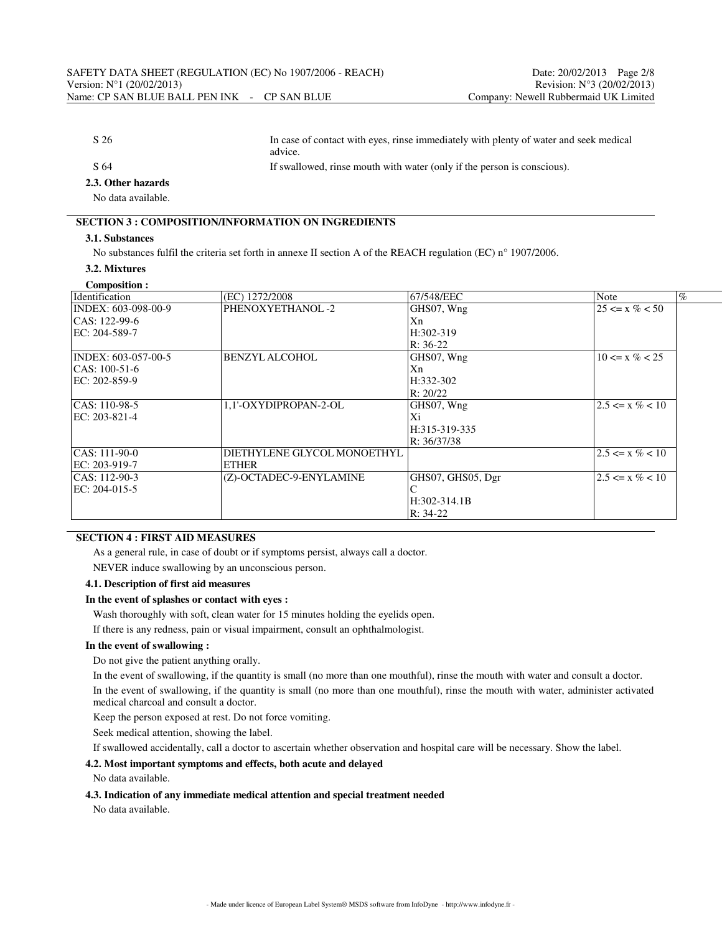| S 26               | In case of contact with eyes, rinse immediately with plenty of water and seek medical<br>advice. |
|--------------------|--------------------------------------------------------------------------------------------------|
| S 64               | If swallowed, rinse mouth with water (only if the person is conscious).                          |
| 2.3. Other hazards |                                                                                                  |

No data available.

# **SECTION 3 : COMPOSITION/INFORMATION ON INGREDIENTS**

# **3.1. Substances**

No substances fulfil the criteria set forth in annexe II section A of the REACH regulation (EC) n° 1907/2006.

#### **3.2. Mixtures Composition :**

| (EC) 1272/2008          | 67/548/EEC        | <b>Note</b>                 | $\%$ |
|-------------------------|-------------------|-----------------------------|------|
| PHENOXYETHANOL-2        | GHS07, Wng        | $25 \le x \% < 50$          |      |
|                         | Xn                |                             |      |
|                         | $H:302-319$       |                             |      |
|                         | $R: 36-22$        |                             |      |
| <b>BENZYL ALCOHOL</b>   | GHS07, Wng        | $10 \le x \% < 25$          |      |
|                         | Xn                |                             |      |
|                         | H:332-302         |                             |      |
|                         | R: 20/22          |                             |      |
| 1.1'-OXYDIPROPAN-2-OL   | GHS07, Wng        | $2.5 \le x \% < 10$         |      |
|                         | Xi                |                             |      |
|                         | H:315-319-335     |                             |      |
|                         | R: 36/37/38       |                             |      |
|                         |                   | $2.5 \le x \% < 10$         |      |
| ETHER                   |                   |                             |      |
| (Z)-OCTADEC-9-ENYLAMINE | GHS07, GHS05, Dgr | $2.5 \le x \% < 10$         |      |
|                         |                   |                             |      |
|                         | $H:302-314.1B$    |                             |      |
|                         | $R: 34-22$        |                             |      |
|                         |                   | DIETHYLENE GLYCOL MONOETHYL |      |

### **SECTION 4 : FIRST AID MEASURES**

As a general rule, in case of doubt or if symptoms persist, always call a doctor.

NEVER induce swallowing by an unconscious person.

# **4.1. Description of first aid measures**

#### **In the event of splashes or contact with eyes :**

Wash thoroughly with soft, clean water for 15 minutes holding the eyelids open.

If there is any redness, pain or visual impairment, consult an ophthalmologist.

#### **In the event of swallowing :**

Do not give the patient anything orally.

In the event of swallowing, if the quantity is small (no more than one mouthful), rinse the mouth with water and consult a doctor.

In the event of swallowing, if the quantity is small (no more than one mouthful), rinse the mouth with water, administer activated medical charcoal and consult a doctor.

Keep the person exposed at rest. Do not force vomiting.

Seek medical attention, showing the label.

If swallowed accidentally, call a doctor to ascertain whether observation and hospital care will be necessary. Show the label.

# **4.2. Most important symptoms and effects, both acute and delayed**

No data available.

#### **4.3. Indication of any immediate medical attention and special treatment needed**

No data available.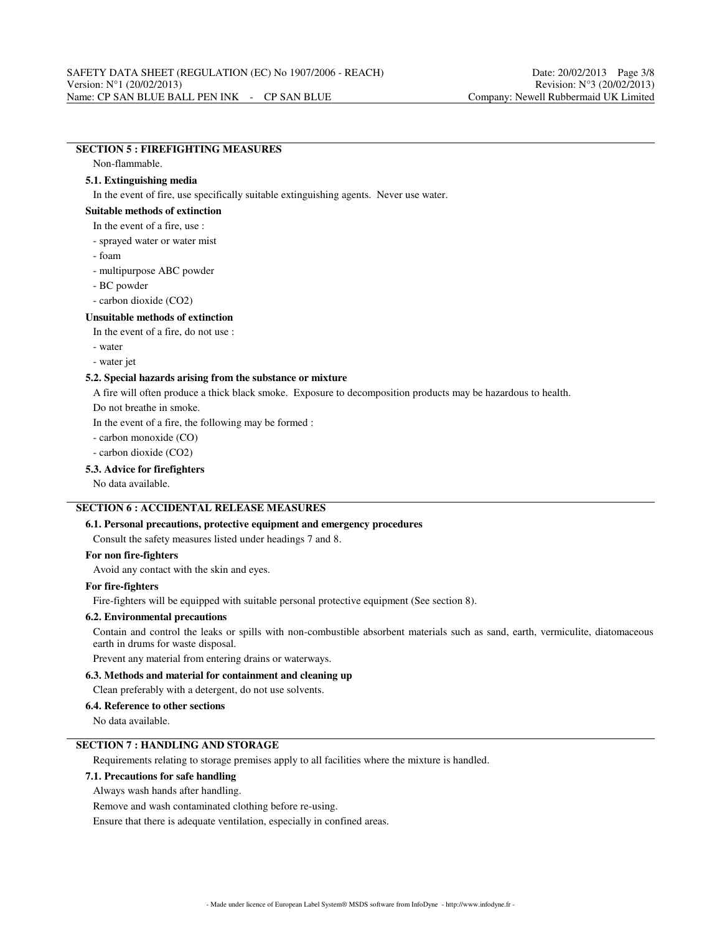# **SECTION 5 : FIREFIGHTING MEASURES**

Non-flammable.

# **5.1. Extinguishing media**

In the event of fire, use specifically suitable extinguishing agents. Never use water.

#### **Suitable methods of extinction**

#### In the event of a fire, use :

- sprayed water or water mist
- foam
- multipurpose ABC powder
- BC powder
- carbon dioxide (CO2)

#### **Unsuitable methods of extinction**

In the event of a fire, do not use :

- water
- water jet

#### **5.2. Special hazards arising from the substance or mixture**

A fire will often produce a thick black smoke. Exposure to decomposition products may be hazardous to health.

Do not breathe in smoke.

In the event of a fire, the following may be formed :

- carbon monoxide (CO)

- carbon dioxide (CO2)

#### **5.3. Advice for firefighters**

No data available.

# **SECTION 6 : ACCIDENTAL RELEASE MEASURES**

## **6.1. Personal precautions, protective equipment and emergency procedures**

Consult the safety measures listed under headings 7 and 8.

## **For non fire-fighters**

Avoid any contact with the skin and eyes.

#### **For fire-fighters**

Fire-fighters will be equipped with suitable personal protective equipment (See section 8).

#### **6.2. Environmental precautions**

Contain and control the leaks or spills with non-combustible absorbent materials such as sand, earth, vermiculite, diatomaceous earth in drums for waste disposal.

Prevent any material from entering drains or waterways.

#### **6.3. Methods and material for containment and cleaning up**

Clean preferably with a detergent, do not use solvents.

#### **6.4. Reference to other sections**

No data available.

# **SECTION 7 : HANDLING AND STORAGE**

Requirements relating to storage premises apply to all facilities where the mixture is handled.

# **7.1. Precautions for safe handling**

Always wash hands after handling.

Remove and wash contaminated clothing before re-using.

Ensure that there is adequate ventilation, especially in confined areas.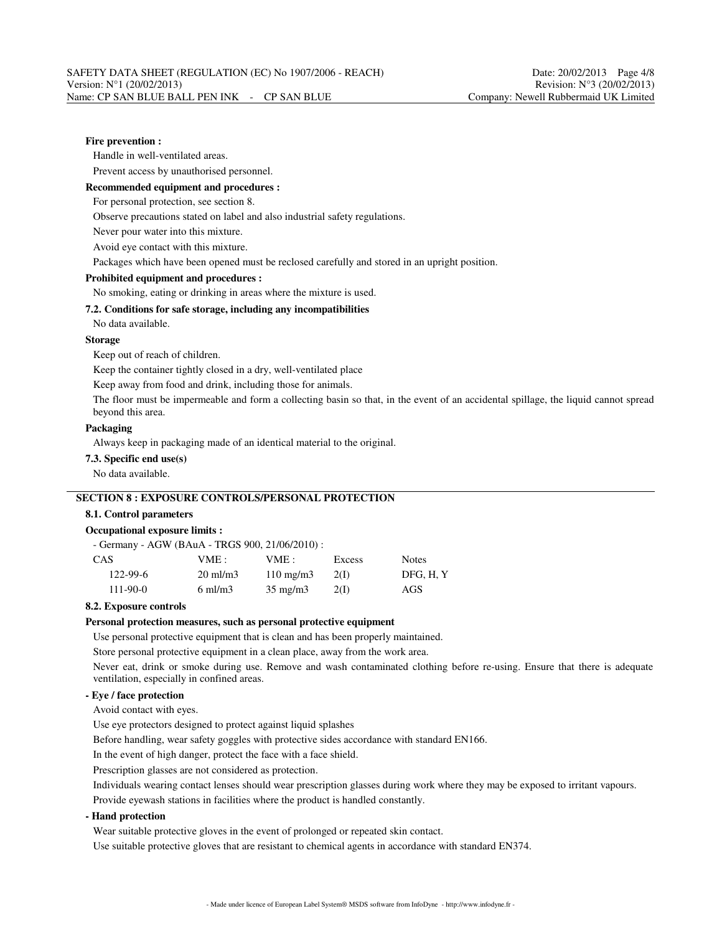## **Fire prevention :**

Handle in well-ventilated areas.

Prevent access by unauthorised personnel.

#### **Recommended equipment and procedures :**

For personal protection, see section 8.

Observe precautions stated on label and also industrial safety regulations.

Never pour water into this mixture.

Avoid eye contact with this mixture.

Packages which have been opened must be reclosed carefully and stored in an upright position.

#### **Prohibited equipment and procedures :**

No smoking, eating or drinking in areas where the mixture is used.

# **7.2. Conditions for safe storage, including any incompatibilities**

No data available.

#### **Storage**

Keep out of reach of children.

Keep the container tightly closed in a dry, well-ventilated place

Keep away from food and drink, including those for animals.

The floor must be impermeable and form a collecting basin so that, in the event of an accidental spillage, the liquid cannot spread beyond this area.

#### **Packaging**

Always keep in packaging made of an identical material to the original.

# **7.3. Specific end use(s)**

No data available.

# **SECTION 8 : EXPOSURE CONTROLS/PERSONAL PROTECTION**

#### **8.1. Control parameters**

#### **Occupational exposure limits :**

|  | - Germany - AGW (BAuA - TRGS 900, 21/06/2010) : |
|--|-------------------------------------------------|
|--|-------------------------------------------------|

| CAS            | VME :               | VME:               | Excess | <b>Notes</b> |
|----------------|---------------------|--------------------|--------|--------------|
| $122 - 99 - 6$ | $20 \text{ ml/m}$ 3 | $110 \text{ mg/m}$ | 2(1)   | DFG, H.Y     |
| $111 - 90 - 0$ | $6 \text{ ml/m}$ 3  | $35 \text{ mg/m}$  | 2(1)   | AGS          |

#### **8.2. Exposure controls**

#### **Personal protection measures, such as personal protective equipment**

Use personal protective equipment that is clean and has been properly maintained.

Store personal protective equipment in a clean place, away from the work area.

Never eat, drink or smoke during use. Remove and wash contaminated clothing before re-using. Ensure that there is adequate ventilation, especially in confined areas.

# **- Eye / face protection**

Avoid contact with eyes.

Use eye protectors designed to protect against liquid splashes

Before handling, wear safety goggles with protective sides accordance with standard EN166.

In the event of high danger, protect the face with a face shield.

Prescription glasses are not considered as protection.

Individuals wearing contact lenses should wear prescription glasses during work where they may be exposed to irritant vapours.

Provide eyewash stations in facilities where the product is handled constantly.

## **- Hand protection**

Wear suitable protective gloves in the event of prolonged or repeated skin contact.

Use suitable protective gloves that are resistant to chemical agents in accordance with standard EN374.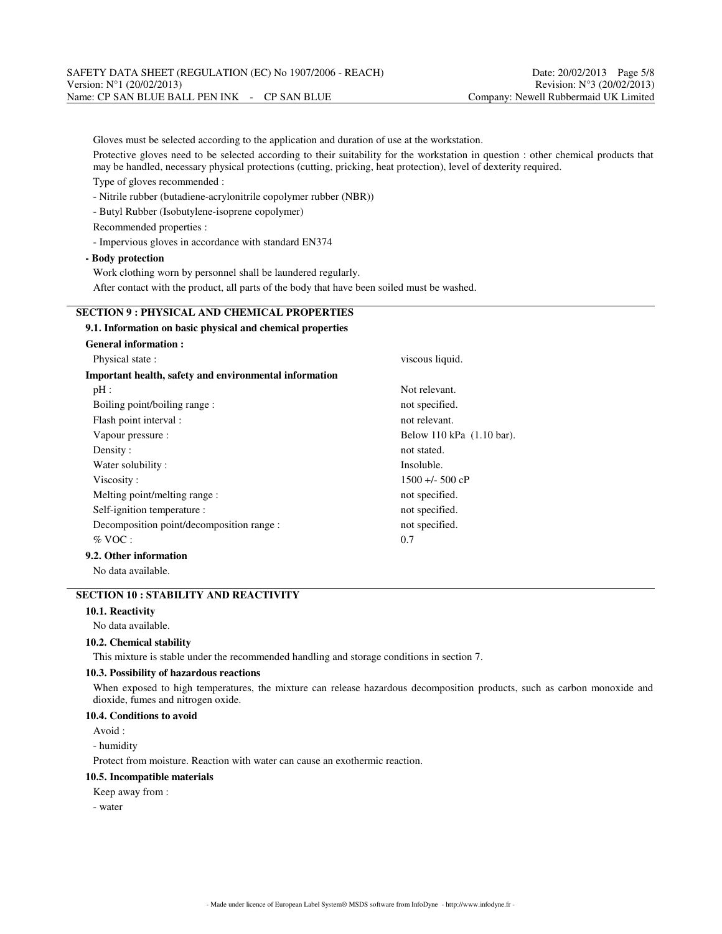Gloves must be selected according to the application and duration of use at the workstation. Protective gloves need to be selected according to their suitability for the workstation in question : other chemical products that may be handled, necessary physical protections (cutting, pricking, heat protection), level of dexterity required. Type of gloves recommended : - Nitrile rubber (butadiene-acrylonitrile copolymer rubber (NBR)) - Butyl Rubber (Isobutylene-isoprene copolymer) Recommended properties : - Impervious gloves in accordance with standard EN374 **- Body protection** Work clothing worn by personnel shall be laundered regularly. After contact with the product, all parts of the body that have been soiled must be washed. **SECTION 9 : PHYSICAL AND CHEMICAL PROPERTIES 9.1. Information on basic physical and chemical properties General information :** Physical state : viscous liquid.

| Important health, safety and environmental information |                           |
|--------------------------------------------------------|---------------------------|
| pH:                                                    | Not relevant.             |
| Boiling point/boiling range:                           | not specified.            |
| Flash point interval :                                 | not relevant.             |
| Vapour pressure :                                      | Below 110 kPa (1.10 bar). |
| Density:                                               | not stated.               |
| Water solubility:                                      | Insoluble.                |
| Viscosity:                                             | $1500 + 500$ cP           |
| Melting point/melting range :                          | not specified.            |
| Self-ignition temperature :                            | not specified.            |
| Decomposition point/decomposition range :              | not specified.            |
| $\%$ VOC :                                             | 0.7                       |
| 9.2. Other information                                 |                           |
|                                                        |                           |

No data available.

# **SECTION 10 : STABILITY AND REACTIVITY**

# **10.1. Reactivity**

No data available.

# **10.2. Chemical stability**

This mixture is stable under the recommended handling and storage conditions in section 7.

# **10.3. Possibility of hazardous reactions**

When exposed to high temperatures, the mixture can release hazardous decomposition products, such as carbon monoxide and dioxide, fumes and nitrogen oxide.

# **10.4. Conditions to avoid**

Avoid :

- humidity

Protect from moisture. Reaction with water can cause an exothermic reaction.

#### **10.5. Incompatible materials**

Keep away from :

- water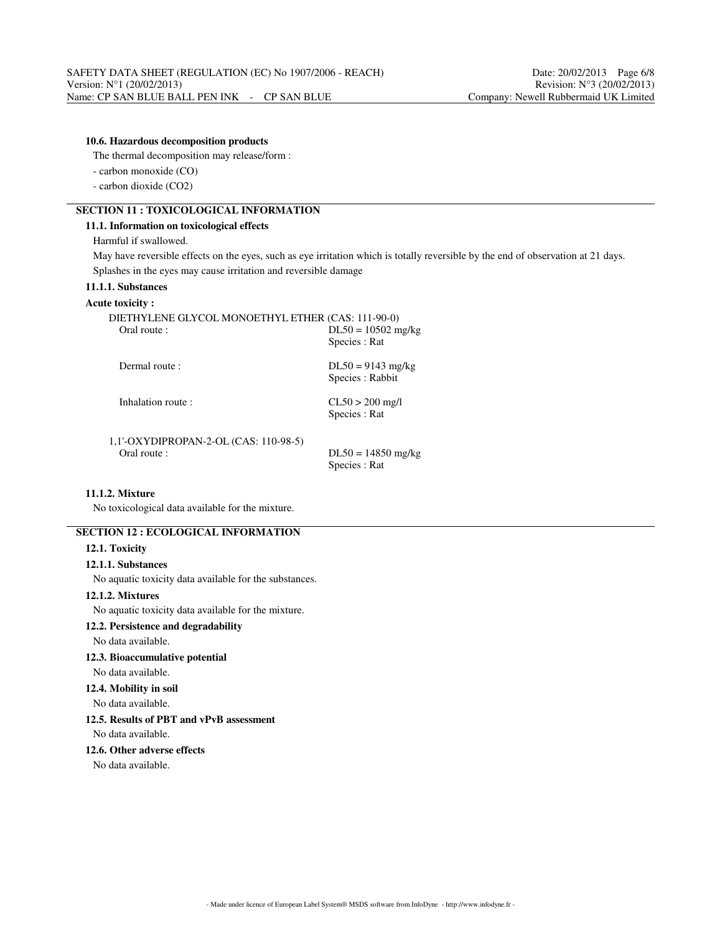# **10.6. Hazardous decomposition products**

The thermal decomposition may release/form :

- carbon monoxide (CO)

- carbon dioxide (CO2)

# **SECTION 11 : TOXICOLOGICAL INFORMATION**

#### **11.1. Information on toxicological effects**

Harmful if swallowed.

May have reversible effects on the eyes, such as eye irritation which is totally reversible by the end of observation at 21 days. Splashes in the eyes may cause irritation and reversible damage

# **11.1.1. Substances**

#### **Acute toxicity :**

| DIETHYLENE GLYCOL MONOETHYL ETHER (CAS: 111-90-0)<br>Oral route : | $DL50 = 10502$ mg/kg<br>Species : Rat   |
|-------------------------------------------------------------------|-----------------------------------------|
| Dermal route:                                                     | $DL50 = 9143$ mg/kg<br>Species : Rabbit |
| Inhalation route:                                                 | $CL50 > 200$ mg/l<br>Species : Rat      |
| 1,1'-OXYDIPROPAN-2-OL (CAS: 110-98-5)                             |                                         |

Oral route :  $DL50 = 14850$  mg/kg

Species : Rat

# **11.1.2. Mixture**

No toxicological data available for the mixture.

# **SECTION 12 : ECOLOGICAL INFORMATION**

#### **12.1. Toxicity**

# **12.1.1. Substances**

No aquatic toxicity data available for the substances.

#### **12.1.2. Mixtures**

No aquatic toxicity data available for the mixture.

## **12.2. Persistence and degradability**

No data available.

# **12.3. Bioaccumulative potential**

#### No data available.

# **12.4. Mobility in soil**

No data available.

## **12.5. Results of PBT and vPvB assessment**

No data available.

#### **12.6. Other adverse effects**

No data available.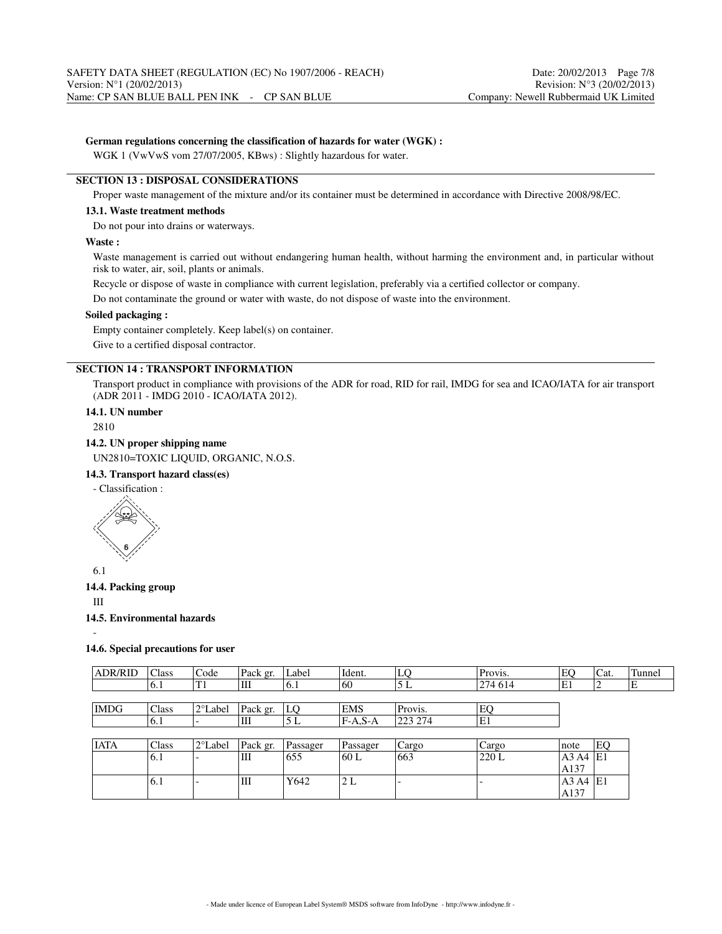#### **German regulations concerning the classification of hazards for water (WGK) :**

WGK 1 (VwVwS vom 27/07/2005, KBws) : Slightly hazardous for water.

#### **SECTION 13 : DISPOSAL CONSIDERATIONS**

Proper waste management of the mixture and/or its container must be determined in accordance with Directive 2008/98/EC.

#### **13.1. Waste treatment methods**

Do not pour into drains or waterways.

#### **Waste :**

Waste management is carried out without endangering human health, without harming the environment and, in particular without risk to water, air, soil, plants or animals.

Recycle or dispose of waste in compliance with current legislation, preferably via a certified collector or company.

Do not contaminate the ground or water with waste, do not dispose of waste into the environment.

#### **Soiled packaging :**

Empty container completely. Keep label(s) on container.

Give to a certified disposal contractor.

# **SECTION 14 : TRANSPORT INFORMATION**

Transport product in compliance with provisions of the ADR for road, RID for rail, IMDG for sea and ICAO/IATA for air transport (ADR 2011 - IMDG 2010 - ICAO/IATA 2012).

#### **14.1. UN number**

2810

#### **14.2. UN proper shipping name**

UN2810=TOXIC LIQUID, ORGANIC, N.O.S.

# **14.3. Transport hazard class(es)**

- Classification :



6.1

#### **14.4. Packing group**

III

-

#### **14.5. Environmental hazards**

#### **14.6. Special precautions for user**

| <b>ADR/RID</b> | Class          | Code              | Pack gr. | Label    | Ident.     | LQ      | Provis. | EO                            | Cat. | Tunnel |
|----------------|----------------|-------------------|----------|----------|------------|---------|---------|-------------------------------|------|--------|
|                | <sup>6.1</sup> | T1                | Ш        | 6.1      | 60         | 5 L     | 274 614 | ΙE1                           |      | Е      |
|                |                |                   |          |          |            |         |         |                               |      |        |
| <b>IMDG</b>    | Class          | 2°Label           | Pack gr. | LO       | <b>EMS</b> | Provis. | EQ      |                               |      |        |
|                | 6.1            |                   | Ш        | 5 L      | $FA.S-A$   | 223 274 | E1      |                               |      |        |
|                |                |                   |          |          |            |         |         |                               |      |        |
| <b>IATA</b>    | Class          | $2^{\circ}$ Label | Pack gr. | Passager | Passager   | Cargo   | Cargo   | note                          | EO   |        |
|                | 6.1            |                   | Ш        | 1655     | 60 L       | 663     | 220L    | A3 A4                         | ΙE1  |        |
|                |                |                   |          |          |            |         |         | $\cdot$ $\cdot$ $\sim$ $\sim$ |      |        |

| $1\vee 1$ | . .                      | $\mathbf{H}$ | 1 UJ J | $\overline{\mathbf{v}}$ | 100J | ∣∠∠∪ ⊾ | $113.117$ $111$ |    |
|-----------|--------------------------|--------------|--------|-------------------------|------|--------|-----------------|----|
|           |                          |              |        |                         |      |        | A137            |    |
| 10.1      | $\overline{\phantom{a}}$ | Ш            | Y642   | n<br>ی ہے ا             | . .  |        | A3<br>A4        | E1 |
|           |                          |              |        |                         |      |        | A137            |    |
|           |                          |              |        |                         |      |        |                 |    |